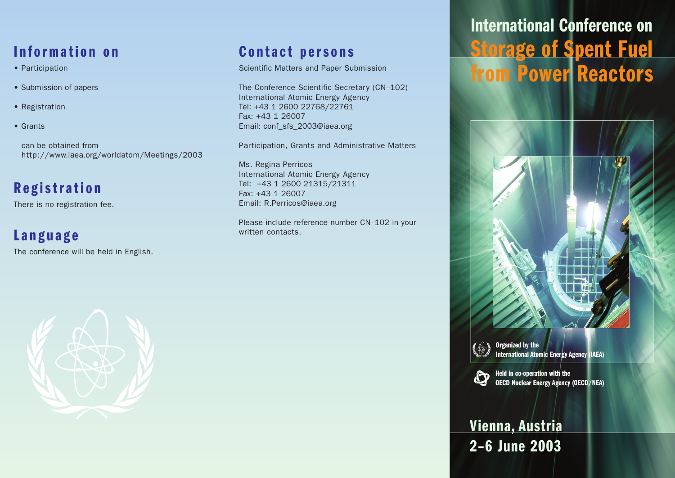## **Information on**

- Participation
- Submission of papers
- Registration
- Grants

can be obtained from http://www.iaea.org/worldatom/Meetings/2003

## **Registration**

There is no registration fee.

### **Language**

The conference will be held in English.

#### **Contact persons**

Scientific Matters and Paper Submission

The Conference Scientific Secretary (CN–102) International Atomic Energy Agency Tel: +43 1 2600 22768/22761 Fax: +43 1 26007 Email: conf\_sfs\_2003@iaea.org

Participation, Grants and Administrative Matters

Ms. Regina Perricos International Atomic Energy Agency Tel: +43 1 2600 21315/21311 Fax: +43 1 26007 Email: R.Perricos@iaea.org

Please include reference number CN–102 in your written contacts.

# **International Conference on Storage of Spent Fuel from Power Reactors**



**Organized by the International Atomic Energy Agency (IAEA)**



**Held in co-operation with the OECD Nuclear Energy Agency (OECD/NEA)**

## **Vienna, Austria 2–6 June 2003**